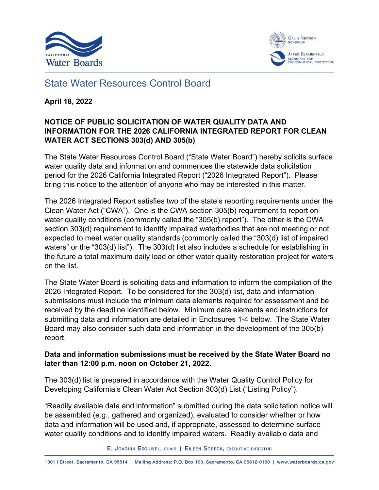



# State Water Resources Control Board

**April 18, 2022**

# **NOTICE OF PUBLIC SOLICITATION OF WATER QUALITY DATA AND INFORMATION FOR THE 2026 CALIFORNIA INTEGRATED REPORT FOR CLEAN WATER ACT SECTIONS 303(d) AND 305(b)**

The State Water Resources Control Board ("State Water Board") hereby solicits surface water quality data and information and commences the statewide data solicitation period for the 2026 California Integrated Report ("2026 Integrated Report"). Please bring this notice to the attention of anyone who may be interested in this matter.

The 2026 Integrated Report satisfies two of the state's reporting requirements under the Clean Water Act ("CWA"). One is the CWA section 305(b) requirement to report on water quality conditions (commonly called the "305(b) report"). The other is the CWA section 303(d) requirement to identify impaired waterbodies that are not meeting or not expected to meet water quality standards (commonly called the "303(d) list of impaired waters" or the "303(d) list"). The 303(d) list also includes a schedule for establishing in the future a total maximum daily load or other water quality restoration project for waters on the list.

The State Water Board is soliciting data and information to inform the compilation of the 2026 Integrated Report. To be considered for the 303(d) list, data and information submissions must include the minimum data elements required for assessment and be received by the deadline identified below. Minimum data elements and instructions for submitting data and information are detailed in Enclosures 1-4 below. The State Water Board may also consider such data and information in the development of the 305(b) report.

# **Data and information submissions must be received by the State Water Board no later than 12:00 p.m. noon on October 21, 2022.**

The 303(d) list is prepared in accordance with the Water Quality Control Policy for Developing California's Clean Water Act Section 303(d) List ("Listing Policy").

"Readily available data and information" submitted during the data solicitation notice will be assembled (e.g., gathered and organized), evaluated to consider whether or how data and information will be used and, if appropriate, assessed to determine surface water quality conditions and to identify impaired waters. Readily available data and

E. JOAQUIN ESQUIVEL, CHAIR | EILEEN SOBECK, EXECUTIVE DIRECTOR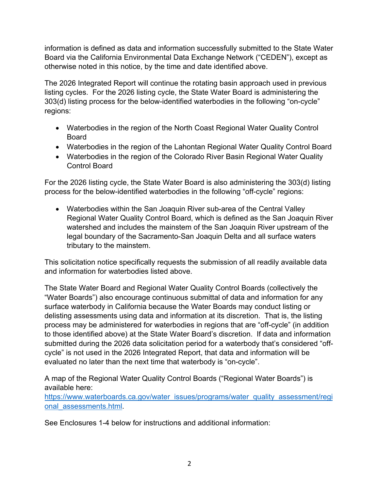information is defined as data and information successfully submitted to the State Water Board via the California Environmental Data Exchange Network ("CEDEN"), except as otherwise noted in this notice, by the time and date identified above.

The 2026 Integrated Report will continue the rotating basin approach used in previous listing cycles. For the 2026 listing cycle, the State Water Board is administering the 303(d) listing process for the below-identified waterbodies in the following "on-cycle" regions:

- · Waterbodies in the region of the North Coast Regional Water Quality Control Board
- · Waterbodies in the region of the Lahontan Regional Water Quality Control Board
- · Waterbodies in the region of the Colorado River Basin Regional Water Quality Control Board

For the 2026 listing cycle, the State Water Board is also administering the 303(d) listing process for the below-identified waterbodies in the following "off-cycle" regions:

• Waterbodies within the San Joaquin River sub-area of the Central Valley Regional Water Quality Control Board, which is defined as the San Joaquin River watershed and includes the mainstem of the San Joaquin River upstream of the legal boundary of the Sacramento-San Joaquin Delta and all surface waters tributary to the mainstem.

This solicitation notice specifically requests the submission of all readily available data and information for waterbodies listed above.

The State Water Board and Regional Water Quality Control Boards (collectively the "Water Boards") also encourage continuous submittal of data and information for any surface waterbody in California because the Water Boards may conduct listing or delisting assessments using data and information at its discretion. That is, the listing process may be administered for waterbodies in regions that are "off-cycle" (in addition to those identified above) at the State Water Board's discretion. If data and information submitted during the 2026 data solicitation period for a waterbody that's considered "offcycle" is not used in the 2026 Integrated Report, that data and information will be evaluated no later than the next time that waterbody is "on-cycle".

A map of the Regional Water Quality Control Boards ("Regional Water Boards") is available here:

[https://www.waterboards.ca.gov/water\\_issues/programs/water\\_quality\\_assessment/regi](https://www.waterboards.ca.gov/water_issues/programs/water_quality_assessment/regional_assessments.html) onal\_assessments.html.

See Enclosures 1-4 below for instructions and additional information: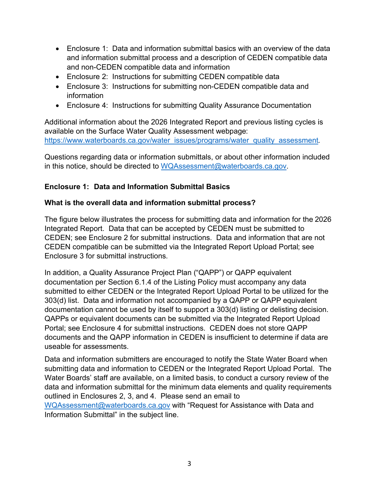- · Enclosure 1: Data and information submittal basics with an overview of the data and information submittal process and a description of CEDEN compatible data and non-CEDEN compatible data and information
- Enclosure 2: Instructions for submitting CEDEN compatible data
- Enclosure 3: Instructions for submitting non-CEDEN compatible data and information
- · Enclosure 4: Instructions for submitting Quality Assurance Documentation

Additional information about the 2026 Integrated Report and previous listing cycles is available on the Surface Water Quality Assessment webpage: [https://www.waterboards.ca.gov/water\\_issues/programs/water\\_quality\\_assessment](https://www.waterboards.ca.gov/water_issues/programs/water_quality_assessment).

Questions regarding data or information submittals, or about other information included in this notice, should be directed to [WQAssessment@waterboards.ca.gov.](mailto:WQAssessment@waterboards.ca.gov)

## **Enclosure 1: Data and Information Submittal Basics**

## **What is the overall data and information submittal process?**

The figure below illustrates the process for submitting data and information for the 2026 Integrated Report. Data that can be accepted by CEDEN must be submitted to CEDEN; see Enclosure 2 for submittal instructions. Data and information that are not CEDEN compatible can be submitted via the Integrated Report Upload Portal; see Enclosure 3 for submittal instructions.

In addition, a Quality Assurance Project Plan ("QAPP") or QAPP equivalent documentation per Section 6.1.4 of the Listing Policy must accompany any data submitted to either CEDEN or the Integrated Report Upload Portal to be utilized for the 303(d) list. Data and information not accompanied by a QAPP or QAPP equivalent documentation cannot be used by itself to support a 303(d) listing or delisting decision. QAPPs or equivalent documents can be submitted via the Integrated Report Upload Portal; see Enclosure 4 for submittal instructions. CEDEN does not store QAPP documents and the QAPP information in CEDEN is insufficient to determine if data are useable for assessments.

Data and information submitters are encouraged to notify the State Water Board when submitting data and information to CEDEN or the Integrated Report Upload Portal. The Water Boards' staff are available, on a limited basis, to conduct a cursory review of the data and information submittal for the minimum data elements and quality requirements outlined in Enclosures 2, 3, and 4. Please send an email to

[WQAssessment@waterboards.ca.gov](mailto:WQAssessment@waterboards.ca.gov) with "Request for Assistance with Data and Information Submittal" in the subject line.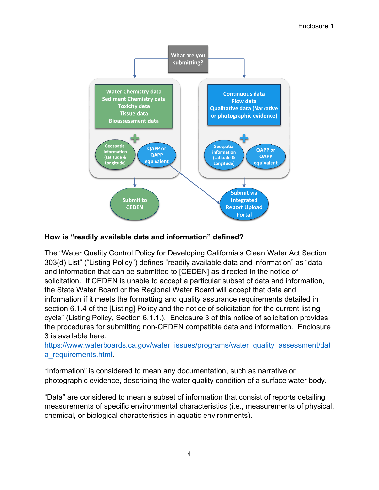

## **How is "readily available data and information" defined?**

The "Water Quality Control Policy for Developing California's Clean Water Act Section 303(d) List" ("Listing Policy") defines "readily available data and information" as "data and information that can be submitted to [CEDEN] as directed in the notice of solicitation. If CEDEN is unable to accept a particular subset of data and information, the State Water Board or the Regional Water Board will accept that data and information if it meets the formatting and quality assurance requirements detailed in section 6.1.4 of the [Listing] Policy and the notice of solicitation for the current listing cycle" (Listing Policy, Section 6.1.1.). Enclosure 3 of this notice of solicitation provides the procedures for submitting non-CEDEN compatible data and information. Enclosure 3 is available here:

[https://www.waterboards.ca.gov/water\\_issues/programs/water\\_quality\\_assessment/dat](https://www.waterboards.ca.gov/water_issues/programs/water_quality_assessment/data_requirements.html) a\_requirements.html.

"Information" is considered to mean any documentation, such as narrative or photographic evidence, describing the water quality condition of a surface water body.

"Data" are considered to mean a subset of information that consist of reports detailing measurements of specific environmental characteristics (i.e., measurements of physical, chemical, or biological characteristics in aquatic environments).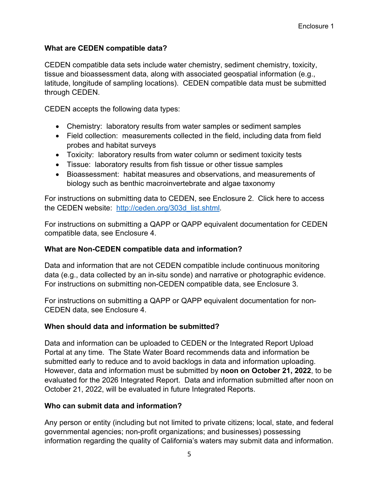## **What are CEDEN compatible data?**

CEDEN compatible data sets include water chemistry, sediment chemistry, toxicity, tissue and bioassessment data, along with associated geospatial information (e.g., latitude, longitude of sampling locations). CEDEN compatible data must be submitted through CEDEN.

CEDEN accepts the following data types:

- Chemistry: laboratory results from water samples or sediment samples
- · Field collection: measurements collected in the field, including data from field probes and habitat surveys
- · Toxicity: laboratory results from water column or sediment toxicity tests
- · Tissue: laboratory results from fish tissue or other tissue samples
- · Bioassessment: habitat measures and observations, and measurements of biology such as benthic macroinvertebrate and algae taxonomy

For instructions on submitting data to CEDEN, see Enclosure 2. Click here to access the CEDEN website: [http://ceden.org/303d\\_list.shtml.](http://ceden.org/303d_list.shtml)

For instructions on submitting a QAPP or QAPP equivalent documentation for CEDEN compatible data, see Enclosure 4.

# **What are Non-CEDEN compatible data and information?**

Data and information that are not CEDEN compatible include continuous monitoring data (e.g., data collected by an in-situ sonde) and narrative or photographic evidence. For instructions on submitting non-CEDEN compatible data, see Enclosure 3.

For instructions on submitting a QAPP or QAPP equivalent documentation for non-CEDEN data, see Enclosure 4.

# **When should data and information be submitted?**

Data and information can be uploaded to CEDEN or the Integrated Report Upload Portal at any time. The State Water Board recommends data and information be submitted early to reduce and to avoid backlogs in data and information uploading. However, data and information must be submitted by **noon on October 21, 2022**, to be evaluated for the 2026 Integrated Report. Data and information submitted after noon on October 21, 2022, will be evaluated in future Integrated Reports.

# **Who can submit data and information?**

Any person or entity (including but not limited to private citizens; local, state, and federal governmental agencies; non-profit organizations; and businesses) possessing information regarding the quality of California's waters may submit data and information.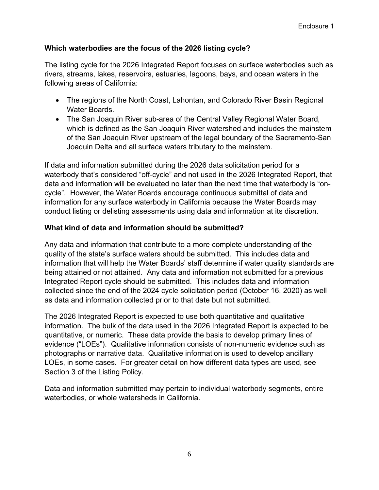## **Which waterbodies are the focus of the 2026 listing cycle?**

The listing cycle for the 2026 Integrated Report focuses on surface waterbodies such as rivers, streams, lakes, reservoirs, estuaries, lagoons, bays, and ocean waters in the following areas of California:

- The regions of the North Coast, Lahontan, and Colorado River Basin Regional Water Boards.
- The San Joaquin River sub-area of the Central Valley Regional Water Board, which is defined as the San Joaquin River watershed and includes the mainstem of the San Joaquin River upstream of the legal boundary of the Sacramento-San Joaquin Delta and all surface waters tributary to the mainstem.

If data and information submitted during the 2026 data solicitation period for a waterbody that's considered "off-cycle" and not used in the 2026 Integrated Report, that data and information will be evaluated no later than the next time that waterbody is "oncycle". However, the Water Boards encourage continuous submittal of data and information for any surface waterbody in California because the Water Boards may conduct listing or delisting assessments using data and information at its discretion.

## **What kind of data and information should be submitted?**

Any data and information that contribute to a more complete understanding of the quality of the state's surface waters should be submitted. This includes data and information that will help the Water Boards' staff determine if water quality standards are being attained or not attained. Any data and information not submitted for a previous Integrated Report cycle should be submitted. This includes data and information collected since the end of the 2024 cycle solicitation period (October 16, 2020) as well as data and information collected prior to that date but not submitted.

The 2026 Integrated Report is expected to use both quantitative and qualitative information. The bulk of the data used in the 2026 Integrated Report is expected to be quantitative, or numeric. These data provide the basis to develop primary lines of evidence ("LOEs"). Qualitative information consists of non-numeric evidence such as photographs or narrative data. Qualitative information is used to develop ancillary LOEs, in some cases. For greater detail on how different data types are used, see Section 3 of the Listing Policy.

Data and information submitted may pertain to individual waterbody segments, entire waterbodies, or whole watersheds in California.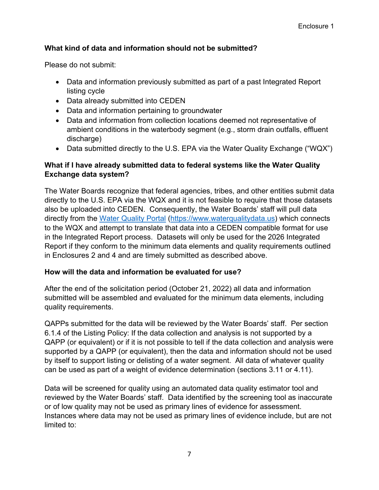## **What kind of data and information should not be submitted?**

Please do not submit:

- · Data and information previously submitted as part of a past Integrated Report listing cycle
- · Data already submitted into CEDEN
- · Data and information pertaining to groundwater
- · Data and information from collection locations deemed not representative of ambient conditions in the waterbody segment (e.g., storm drain outfalls, effluent discharge)
- · Data submitted directly to the U.S. EPA via the Water Quality Exchange ("WQX")

## **What if I have already submitted data to federal systems like the Water Quality Exchange data system?**

The Water Boards recognize that federal agencies, tribes, and other entities submit data directly to the U.S. EPA via the WQX and it is not feasible to require that those datasets also be uploaded into CEDEN. Consequently, the Water Boards' staff will pull data directly from the [Water Quality Portal](https://www.waterqualitydata.us/) [\(https://www.waterqualitydata.us](https://www.waterqualitydata.us/)) which connects to the WQX and attempt to translate that data into a CEDEN compatible format for use in the Integrated Report process. Datasets will only be used for the 2026 Integrated Report if they conform to the minimum data elements and quality requirements outlined in Enclosures 2 and 4 and are timely submitted as described above.

## **How will the data and information be evaluated for use?**

After the end of the solicitation period (October 21, 2022) all data and information submitted will be assembled and evaluated for the minimum data elements, including quality requirements.

QAPPs submitted for the data will be reviewed by the Water Boards' staff. Per section 6.1.4 of the Listing Policy: If the data collection and analysis is not supported by a QAPP (or equivalent) or if it is not possible to tell if the data collection and analysis were supported by a QAPP (or equivalent), then the data and information should not be used by itself to support listing or delisting of a water segment. All data of whatever quality can be used as part of a weight of evidence determination (sections 3.11 or 4.11).

Data will be screened for quality using an automated data quality estimator tool and reviewed by the Water Boards' staff. Data identified by the screening tool as inaccurate or of low quality may not be used as primary lines of evidence for assessment. Instances where data may not be used as primary lines of evidence include, but are not limited to: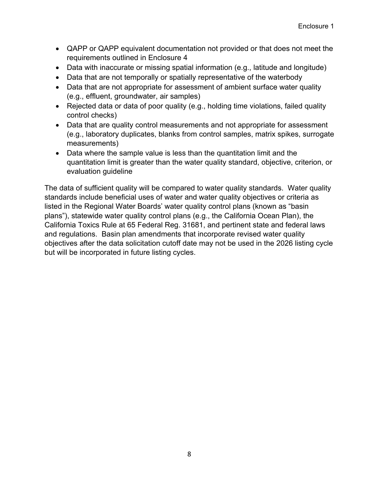- · QAPP or QAPP equivalent documentation not provided or that does not meet the requirements outlined in Enclosure 4
- · Data with inaccurate or missing spatial information (e.g., latitude and longitude)
- · Data that are not temporally or spatially representative of the waterbody
- · Data that are not appropriate for assessment of ambient surface water quality (e.g., effluent, groundwater, air samples)
- Rejected data or data of poor quality (e.g., holding time violations, failed quality control checks)
- · Data that are quality control measurements and not appropriate for assessment (e.g., laboratory duplicates, blanks from control samples, matrix spikes, surrogate measurements)
- · Data where the sample value is less than the quantitation limit and the quantitation limit is greater than the water quality standard, objective, criterion, or evaluation guideline

The data of sufficient quality will be compared to water quality standards. Water quality standards include beneficial uses of water and water quality objectives or criteria as listed in the Regional Water Boards' water quality control plans (known as "basin plans"), statewide water quality control plans (e.g., the California Ocean Plan), the California Toxics Rule at 65 Federal Reg. 31681, and pertinent state and federal laws and regulations. Basin plan amendments that incorporate revised water quality objectives after the data solicitation cutoff date may not be used in the 2026 listing cycle but will be incorporated in future listing cycles.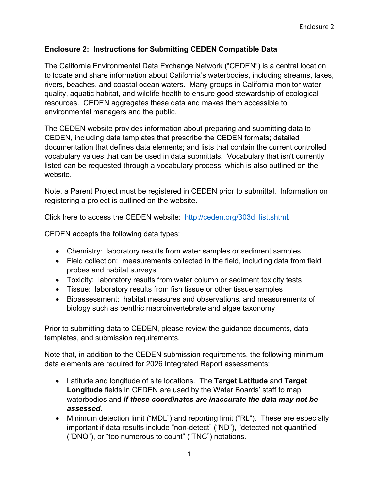## **Enclosure 2: Instructions for Submitting CEDEN Compatible Data**

The California Environmental Data Exchange Network ("CEDEN") is a central location to locate and share information about California's waterbodies, including streams, lakes, rivers, beaches, and coastal ocean waters. Many groups in California monitor water quality, aquatic habitat, and wildlife health to ensure good stewardship of ecological resources. CEDEN aggregates these data and makes them accessible to environmental managers and the public.

The CEDEN website provides information about preparing and submitting data to CEDEN, including data templates that prescribe the CEDEN formats; detailed documentation that defines data elements; and lists that contain the current controlled vocabulary values that can be used in data submittals. Vocabulary that isn't currently listed can be requested through a vocabulary process, which is also outlined on the website.

Note, a Parent Project must be registered in CEDEN prior to submittal. Information on registering a project is outlined on the website.

Click here to access the CEDEN website: [http://ceden.org/303d\\_list.shtml](http://ceden.org/303d_list.shtml).

CEDEN accepts the following data types:

- Chemistry: laboratory results from water samples or sediment samples
- · Field collection: measurements collected in the field, including data from field probes and habitat surveys
- · Toxicity: laboratory results from water column or sediment toxicity tests
- · Tissue: laboratory results from fish tissue or other tissue samples
- · Bioassessment: habitat measures and observations, and measurements of biology such as benthic macroinvertebrate and algae taxonomy

Prior to submitting data to CEDEN, please review the guidance documents, data templates, and submission requirements.

Note that, in addition to the CEDEN submission requirements, the following minimum data elements are required for 2026 Integrated Report assessments:

- · Latitude and longitude of site locations. The **Target Latitude** and **Target Longitude** fields in CEDEN are used by the Water Boards' staff to map waterbodies and *if these coordinates are inaccurate the data may not be assessed*.
- Minimum detection limit ("MDL") and reporting limit ("RL"). These are especially important if data results include "non-detect" ("ND"), "detected not quantified" ("DNQ"), or "too numerous to count" ("TNC") notations.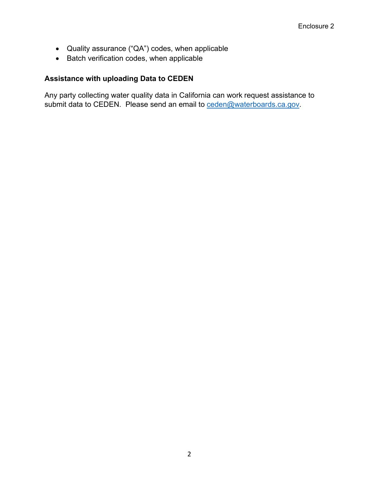- · Quality assurance ("QA") codes, when applicable
- · Batch verification codes, when applicable

#### **Assistance with uploading Data to CEDEN**

Any party collecting water quality data in California can work request assistance to submit data to CEDEN. Please send an email to [ceden@waterboards.ca.gov.](mailto:ceden@waterboards.ca.gov)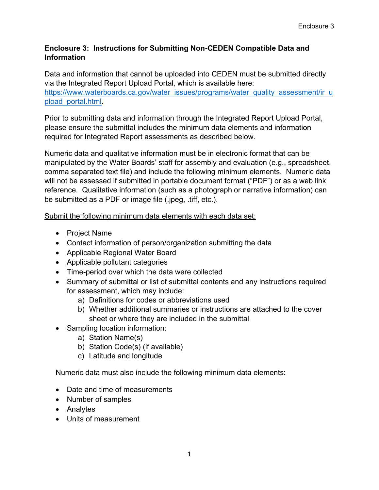## **Enclosure 3: Instructions for Submitting Non-CEDEN Compatible Data and Information**

Data and information that cannot be uploaded into CEDEN must be submitted directly via the Integrated Report Upload Portal, which is available here: [https://www.waterboards.ca.gov/water\\_issues/programs/water\\_quality\\_assessment/ir\\_u](https://www.waterboards.ca.gov/water_issues/programs/water_quality_assessment/ir_upload_portal.html) pload\_portal.html.

Prior to submitting data and information through the Integrated Report Upload Portal, please ensure the submittal includes the minimum data elements and information required for Integrated Report assessments as described below.

Numeric data and qualitative information must be in electronic format that can be manipulated by the Water Boards' staff for assembly and evaluation (e.g., spreadsheet, comma separated text file) and include the following minimum elements. Numeric data will not be assessed if submitted in portable document format ("PDF") or as a web link reference. Qualitative information (such as a photograph or narrative information) can be submitted as a PDF or image file (.jpeg, .tiff, etc.).

Submit the following minimum data elements with each data set:

- · Project Name
- Contact information of person/organization submitting the data
- · Applicable Regional Water Board
- · Applicable pollutant categories
- · Time-period over which the data were collected
- · Summary of submittal or list of submittal contents and any instructions required for assessment, which may include:
	- a) Definitions for codes or abbreviations used
	- b) Whether additional summaries or instructions are attached to the cover sheet or where they are included in the submittal
- · Sampling location information:
	- a) Station Name(s)
	- b) Station Code(s) (if available)
	- c) Latitude and longitude

## Numeric data must also include the following minimum data elements:

- · Date and time of measurements
- · Number of samples
- · Analytes
- · Units of measurement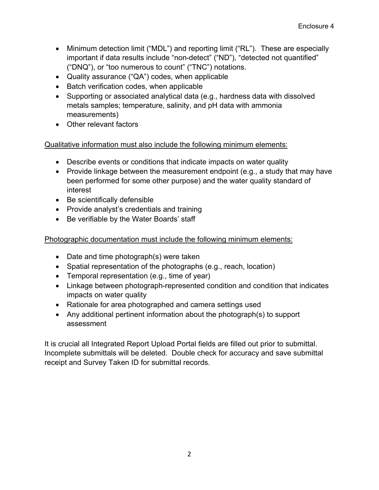- Minimum detection limit ("MDL") and reporting limit ("RL"). These are especially important if data results include "non-detect" ("ND"), "detected not quantified" ("DNQ"), or "too numerous to count" ("TNC") notations.
- · Quality assurance ("QA") codes, when applicable
- · Batch verification codes, when applicable
- Supporting or associated analytical data (e.g., hardness data with dissolved metals samples; temperature, salinity, and pH data with ammonia measurements)
- Other relevant factors

## Qualitative information must also include the following minimum elements:

- · Describe events or conditions that indicate impacts on water quality
- · Provide linkage between the measurement endpoint (e.g., a study that may have been performed for some other purpose) and the water quality standard of interest
- · Be scientifically defensible
- Provide analyst's credentials and training
- · Be verifiable by the Water Boards' staff

## Photographic documentation must include the following minimum elements:

- Date and time photograph(s) were taken
- Spatial representation of the photographs (e.g., reach, location)
- Temporal representation (e.g., time of year)
- · Linkage between photograph-represented condition and condition that indicates impacts on water quality
- · Rationale for area photographed and camera settings used
- · Any additional pertinent information about the photograph(s) to support assessment

It is crucial all Integrated Report Upload Portal fields are filled out prior to submittal. Incomplete submittals will be deleted. Double check for accuracy and save submittal receipt and Survey Taken ID for submittal records.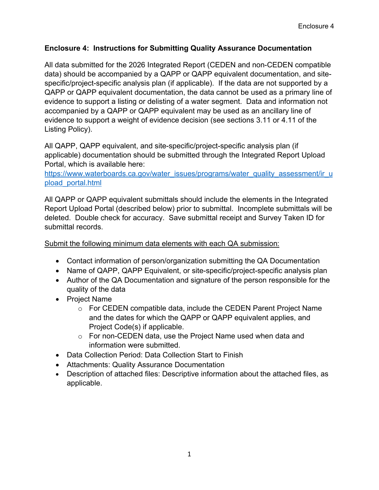## **Enclosure 4: Instructions for Submitting Quality Assurance Documentation**

All data submitted for the 2026 Integrated Report (CEDEN and non-CEDEN compatible data) should be accompanied by a QAPP or QAPP equivalent documentation, and sitespecific/project-specific analysis plan (if applicable). If the data are not supported by a QAPP or QAPP equivalent documentation, the data cannot be used as a primary line of evidence to support a listing or delisting of a water segment. Data and information not accompanied by a QAPP or QAPP equivalent may be used as an ancillary line of evidence to support a weight of evidence decision (see sections 3.11 or 4.11 of the Listing Policy).

All QAPP, QAPP equivalent, and site-specific/project-specific analysis plan (if applicable) documentation should be submitted through the Integrated Report Upload Portal, which is available here:

[https://www.waterboards.ca.gov/water\\_issues/programs/water\\_quality\\_assessment/ir\\_u](https://www.waterboards.ca.gov/water_issues/programs/water_quality_assessment/ir_upload_portal.html) pload\_portal.html

All QAPP or QAPP equivalent submittals should include the elements in the Integrated Report Upload Portal (described below) prior to submittal. Incomplete submittals will be deleted. Double check for accuracy. Save submittal receipt and Survey Taken ID for submittal records.

Submit the following minimum data elements with each QA submission:

- · Contact information of person/organization submitting the QA Documentation
- Name of QAPP, QAPP Equivalent, or site-specific/project-specific analysis plan
- · Author of the QA Documentation and signature of the person responsible for the quality of the data
- · Project Name
	- $\circ$  For CEDEN compatible data, include the CEDEN Parent Project Name and the dates for which the QAPP or QAPP equivalent applies, and Project Code(s) if applicable.
	- o For non-CEDEN data, use the Project Name used when data and information were submitted.
- · Data Collection Period: Data Collection Start to Finish
- · Attachments: Quality Assurance Documentation
- · Description of attached files: Descriptive information about the attached files, as applicable.